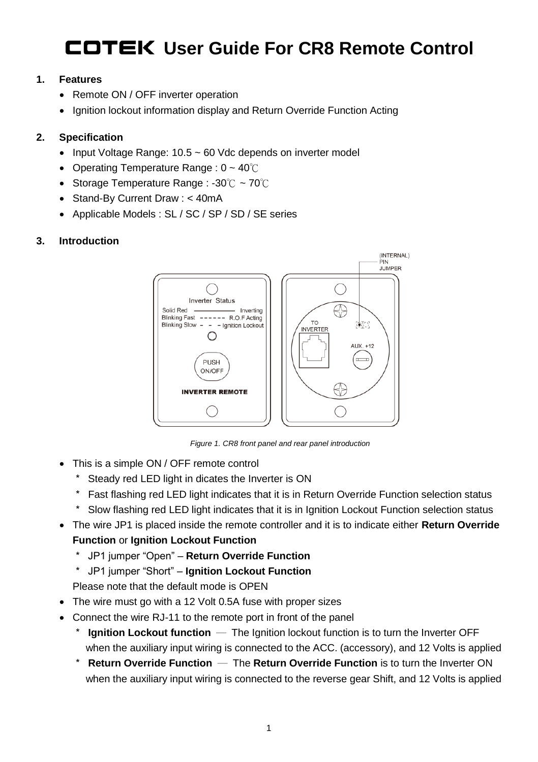# **LOTEK** User Guide For CR8 Remote Control

#### **1. Features**

- Remote ON / OFF inverter operation
- Ignition lockout information display and Return Override Function Acting

## **2. Specification**

- $\bullet$  Input Voltage Range: 10.5  $\sim$  60 Vdc depends on inverter model
- Operating Temperature Range : 0 ~ 40℃
- Storage Temperature Range : -30℃ ~ 70℃
- Stand-By Current Draw : < 40mA
- Applicable Models : SL / SC / SP / SD / SE series

#### **3. Introduction**



*Figure 1. CR8 front panel and rear panel introduction*

- This is a simple ON / OFF remote control
	- \* Steady red LED light in dicates the Inverter is ON
	- Fast flashing red LED light indicates that it is in Return Override Function selection status
	- \* Slow flashing red LED light indicates that it is in Ignition Lockout Function selection status
- The wire JP1 is placed inside the remote controller and it is to indicate either **Return Override**

## **Function** or **Ignition Lockout Function**

- \* JP1 jumper "Open" **Return Override Function**
- \* JP1 jumper "Short" **Ignition Lockout Function**

Please note that the default mode is OPEN

- The wire must go with a 12 Volt 0.5A fuse with proper sizes
- Connect the wire RJ-11 to the remote port in front of the panel
	- **Ignition Lockout function** The Ignition lockout function is to turn the Inverter OFF when the auxiliary input wiring is connected to the ACC. (accessory), and 12 Volts is applied
	- \* **Return Override Function** ─ The **Return Override Function** is to turn the Inverter ON when the auxiliary input wiring is connected to the reverse gear Shift, and 12 Volts is applied